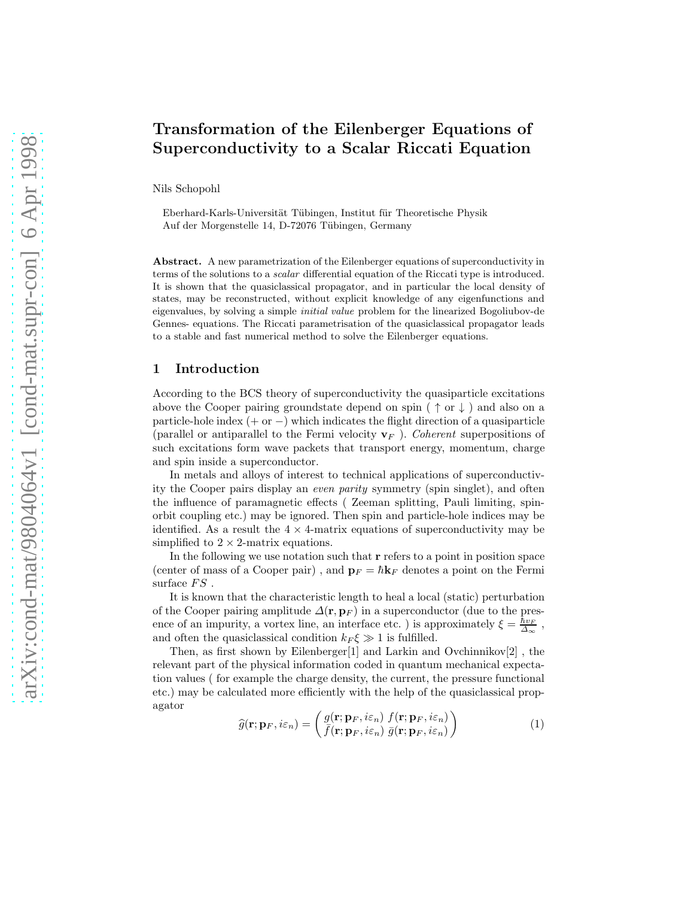# Transformation of the Eilenberger Equations of Superconductivity to a Scalar Riccati Equation

Nils Schopohl

Eberhard-Karls-Universität Tübingen, Institut für Theoretische Physik Auf der Morgenstelle 14, D-72076 Tübingen, Germany

Abstract. A new parametrization of the Eilenberger equations of superconductivity in terms of the solutions to a scalar differential equation of the Riccati type is introduced. It is shown that the quasiclassical propagator, and in particular the local density of states, may be reconstructed, without explicit knowledge of any eigenfunctions and eigenvalues, by solving a simple initial value problem for the linearized Bogoliubov-de Gennes- equations. The Riccati parametrisation of the quasiclassical propagator leads to a stable and fast numerical method to solve the Eilenberger equations.

# 1 Introduction

According to the BCS theory of superconductivity the quasiparticle excitations above the Cooper pairing groundstate depend on spin ( $\uparrow$  or  $\downarrow$ ) and also on a particle-hole index  $(+ or -)$  which indicates the flight direction of a quasiparticle (parallel or antiparallel to the Fermi velocity  $\mathbf{v}_F$ ). Coherent superpositions of such excitations form wave packets that transport energy, momentum, charge and spin inside a superconductor.

In metals and alloys of interest to technical applications of superconductivity the Cooper pairs display an even parity symmetry (spin singlet), and often the influence of paramagnetic effects ( Zeeman splitting, Pauli limiting, spinorbit coupling etc.) may be ignored. Then spin and particle-hole indices may be identified. As a result the  $4 \times 4$ -matrix equations of superconductivity may be simplified to  $2 \times 2$ -matrix equations.

In the following we use notation such that  $r$  refers to a point in position space (center of mass of a Cooper pair), and  $\mathbf{p}_F = \hbar \mathbf{k}_F$  denotes a point on the Fermi surface  $FS$ .

It is known that the characteristic length to heal a local (static) perturbation of the Cooper pairing amplitude  $\Delta(\mathbf{r}, \mathbf{p}_F)$  in a superconductor (due to the presence of an impurity, a vortex line, an interface etc. ) is approximately  $\xi = \frac{\hbar v_F}{\Delta_{\infty}}$ , and often the quasiclassical condition  $k_F \xi \gg 1$  is fulfilled.

Then, as first shown by Eilenberger[1] and Larkin and Ovchinnikov[2], the relevant part of the physical information coded in quantum mechanical expectation values ( for example the charge density, the current, the pressure functional etc.) may be calculated more efficiently with the help of the quasiclassical propagator

$$
\widehat{g}(\mathbf{r}; \mathbf{p}_F, i\varepsilon_n) = \begin{pmatrix} g(\mathbf{r}; \mathbf{p}_F, i\varepsilon_n) & f(\mathbf{r}; \mathbf{p}_F, i\varepsilon_n) \\ \bar{f}(\mathbf{r}; \mathbf{p}_F, i\varepsilon_n) & \bar{g}(\mathbf{r}; \mathbf{p}_F, i\varepsilon_n) \end{pmatrix}
$$
\n(1)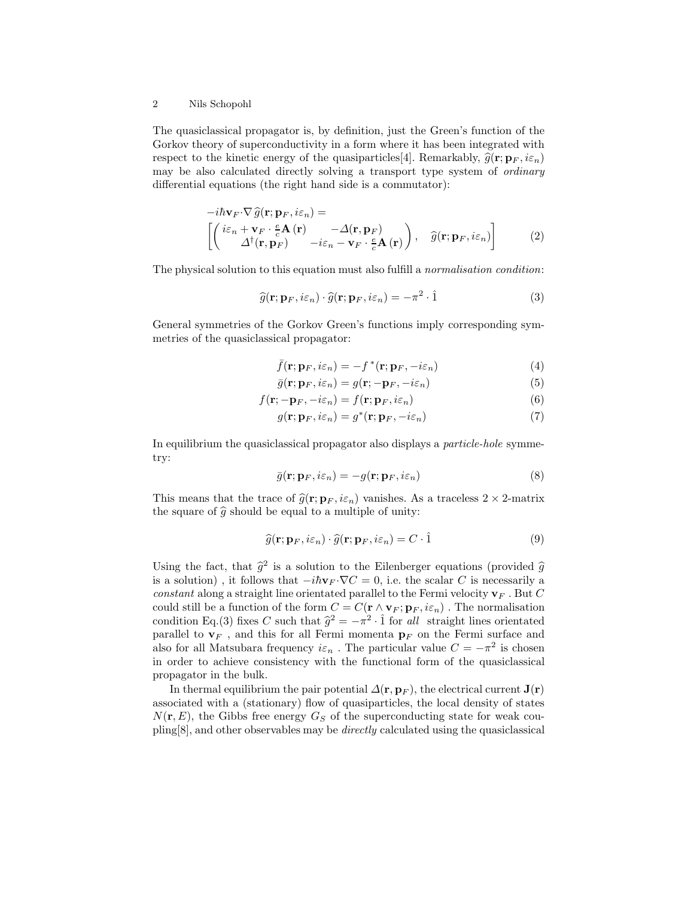The quasiclassical propagator is, by definition, just the Green's function of the Gorkov theory of superconductivity in a form where it has been integrated with respect to the kinetic energy of the quasiparticles 4. Remarkably,  $\hat{q}(\mathbf{r}; \mathbf{p}_F, i\varepsilon_n)$ may be also calculated directly solving a transport type system of *ordinary* differential equations (the right hand side is a commutator):

$$
-i\hbar \mathbf{v}_F \cdot \nabla \widehat{g}(\mathbf{r}; \mathbf{p}_F, i\varepsilon_n) =
$$
\n
$$
\begin{bmatrix}\n(i\varepsilon_n + \mathbf{v}_F \cdot \frac{e}{c} \mathbf{A}(\mathbf{r}) & -\Delta(\mathbf{r}, \mathbf{p}_F) \\
\Delta^\dagger(\mathbf{r}, \mathbf{p}_F) & -i\varepsilon_n - \mathbf{v}_F \cdot \frac{e}{c} \mathbf{A}(\mathbf{r})\n\end{bmatrix}, \quad \widehat{g}(\mathbf{r}; \mathbf{p}_F, i\varepsilon_n)\n\end{bmatrix}
$$
\n(2)

The physical solution to this equation must also fulfill a *normalisation condition*:

$$
\widehat{g}(\mathbf{r}; \mathbf{p}_F, i\varepsilon_n) \cdot \widehat{g}(\mathbf{r}; \mathbf{p}_F, i\varepsilon_n) = -\pi^2 \cdot \widehat{1}
$$
\n(3)

General symmetries of the Gorkov Green's functions imply corresponding symmetries of the quasiclassical propagator:

$$
\bar{f}(\mathbf{r}; \mathbf{p}_F, i\varepsilon_n) = -f^*(\mathbf{r}; \mathbf{p}_F, -i\varepsilon_n)
$$
\n(4)

$$
\bar{g}(\mathbf{r}; \mathbf{p}_F, i\varepsilon_n) = g(\mathbf{r}; -\mathbf{p}_F, -i\varepsilon_n)
$$
\n(5)

$$
f(\mathbf{r}; -\mathbf{p}_F, -i\varepsilon_n) = f(\mathbf{r}; \mathbf{p}_F, i\varepsilon_n)
$$
\n(6)

$$
g(\mathbf{r}; \mathbf{p}_F, i\varepsilon_n) = g^*(\mathbf{r}; \mathbf{p}_F, -i\varepsilon_n)
$$
\n(7)

In equilibrium the quasiclassical propagator also displays a *particle-hole* symmetry:

$$
\bar{g}(\mathbf{r}; \mathbf{p}_F, i\varepsilon_n) = -g(\mathbf{r}; \mathbf{p}_F, i\varepsilon_n)
$$
\n(8)

This means that the trace of  $\hat{g}(\mathbf{r}; \mathbf{p}_F, i\varepsilon_n)$  vanishes. As a traceless  $2 \times 2$ -matrix the square of  $\hat{g}$  should be equal to a multiple of unity:

$$
\widehat{g}(\mathbf{r}; \mathbf{p}_F, i\varepsilon_n) \cdot \widehat{g}(\mathbf{r}; \mathbf{p}_F, i\varepsilon_n) = C \cdot \widehat{1}
$$
\n(9)

Using the fact, that  $\hat{g}^2$  is a solution to the Eilenberger equations (provided  $\hat{g}$ is a solution), it follows that  $-i\hbar{\bf v}_F \cdot \nabla C = 0$ , i.e. the scalar C is necessarily a constant along a straight line orientated parallel to the Fermi velocity  $\mathbf{v}_F$ . But C could still be a function of the form  $C = C(\mathbf{r} \wedge \mathbf{v}_F; \mathbf{p}_F, i\varepsilon_n)$ . The normalisation condition Eq.(3) fixes C such that  $\hat{g}^2 = -\pi^2 \cdot \hat{1}$  for all straight lines orientated parallel to  $\mathbf{v}_F$ , and this for all Fermi momenta  $\mathbf{p}_F$  on the Fermi surface and also for all Matsubara frequency  $i\varepsilon_n$ . The particular value  $C = -\pi^2$  is chosen in order to achieve consistency with the functional form of the quasiclassical propagator in the bulk.

In thermal equilibrium the pair potential  $\Delta(\mathbf{r}, \mathbf{p}_F)$ , the electrical current  $\mathbf{J}(\mathbf{r})$ associated with a (stationary) flow of quasiparticles, the local density of states  $N(\mathbf{r}, E)$ , the Gibbs free energy  $G_S$  of the superconducting state for weak coupling[8], and other observables may be directly calculated using the quasiclassical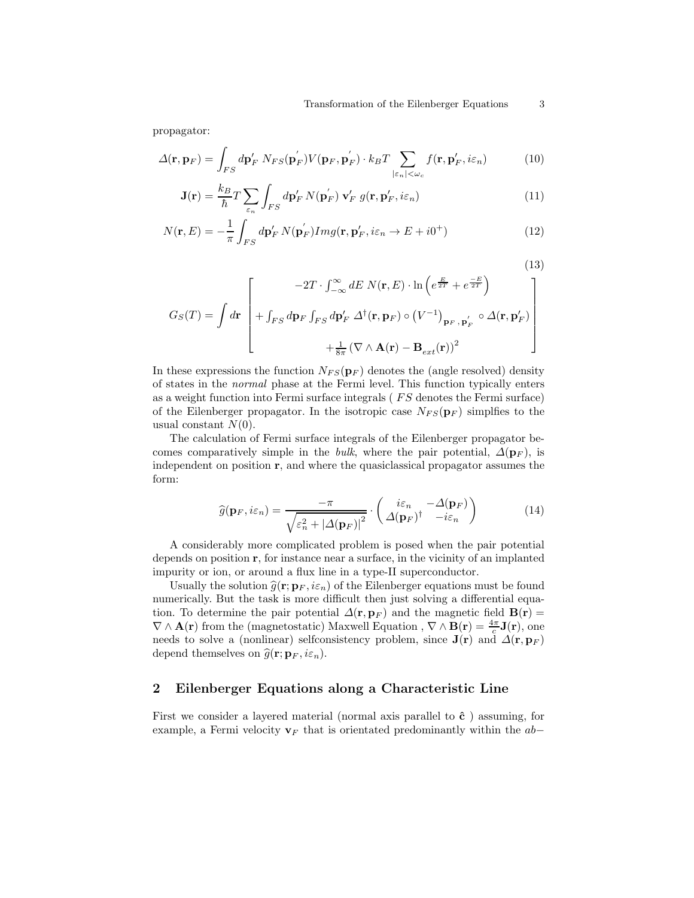propagator:

$$
\Delta(\mathbf{r}, \mathbf{p}_F) = \int_{FS} d\mathbf{p}_F' N_{FS}(\mathbf{p}_F') V(\mathbf{p}_F, \mathbf{p}_F') \cdot k_B T \sum_{|\varepsilon_n| < \omega_c} f(\mathbf{r}, \mathbf{p}_F', i\varepsilon_n) \tag{10}
$$

$$
\mathbf{J}(\mathbf{r}) = \frac{k_B}{\hbar} T \sum_{\varepsilon_n} \int_{FS} d\mathbf{p}'_F N(\mathbf{p}'_F) \mathbf{v}'_F g(\mathbf{r}, \mathbf{p}'_F, i\varepsilon_n)
$$
(11)

$$
N(\mathbf{r}, E) = -\frac{1}{\pi} \int_{FS} d\mathbf{p}'_F N(\mathbf{p}'_F) Img(\mathbf{r}, \mathbf{p}'_F, i\varepsilon_n \to E + i0^+) \tag{12}
$$

$$
(13)
$$

$$
G_S(T) = \int d\mathbf{r} \begin{bmatrix} -2T \cdot \int_{-\infty}^{\infty} dE \ N(\mathbf{r}, E) \cdot \ln \left( e^{\frac{E}{2T}} + e^{\frac{-E}{2T}} \right) \\ + \int_{FS} d\mathbf{p}_F \int_{FS} d\mathbf{p}_F' \ \Delta^{\dagger}(\mathbf{r}, \mathbf{p}_F) \circ \left( V^{-1} \right)_{\mathbf{p}_F, \mathbf{p}_F'} \circ \Delta(\mathbf{r}, \mathbf{p}_F') \\ + \frac{1}{8\pi} \left( \nabla \wedge \mathbf{A}(\mathbf{r}) - \mathbf{B}_{ext}(\mathbf{r}) \right)^2 \end{bmatrix}
$$

In these expressions the function  $N_{FS}(\mathbf{p}_F)$  denotes the (angle resolved) density of states in the normal phase at the Fermi level. This function typically enters as a weight function into Fermi surface integrals (*FS* denotes the Fermi surface) of the Eilenberger propagator. In the isotropic case  $N_{FS}(\mathbf{p}_F)$  simplfies to the usual constant  $N(0)$ .

The calculation of Fermi surface integrals of the Eilenberger propagator becomes comparatively simple in the *bulk*, where the pair potential,  $\Delta(\mathbf{p}_F)$ , is independent on position r, and where the quasiclassical propagator assumes the form:

$$
\widehat{g}(\mathbf{p}_F, i\varepsilon_n) = \frac{-\pi}{\sqrt{\varepsilon_n^2 + |\Delta(\mathbf{p}_F)|^2}} \cdot \begin{pmatrix} i\varepsilon_n & -\Delta(\mathbf{p}_F) \\ \Delta(\mathbf{p}_F)^\dagger & -i\varepsilon_n \end{pmatrix}
$$
(14)

A considerably more complicated problem is posed when the pair potential depends on position r, for instance near a surface, in the vicinity of an implanted impurity or ion, or around a flux line in a type-II superconductor.

Usually the solution  $\hat{g}(\mathbf{r}; \mathbf{p}_F, i\varepsilon_n)$  of the Eilenberger equations must be found numerically. But the task is more difficult then just solving a differential equation. To determine the pair potential  $\Delta(\mathbf{r}, \mathbf{p}_F)$  and the magnetic field  $\mathbf{B}(\mathbf{r}) =$  $\nabla \wedge \mathbf{A}(\mathbf{r})$  from the (magnetostatic) Maxwell Equation,  $\nabla \wedge \mathbf{B}(\mathbf{r}) = \frac{4\pi}{c}\mathbf{J}(\mathbf{r})$ , one needs to solve a (nonlinear) selfconsistency problem, since  $J(r)$  and  $\Delta(r, p_F)$ depend themselves on  $\widehat{g}(\mathbf{r}; \mathbf{p}_F, i\varepsilon_n)$ .

# 2 Eilenberger Equations along a Characteristic Line

First we consider a layered material (normal axis parallel to  $\hat{c}$ ) assuming, for example, a Fermi velocity  $v_F$  that is orientated predominantly within the ab–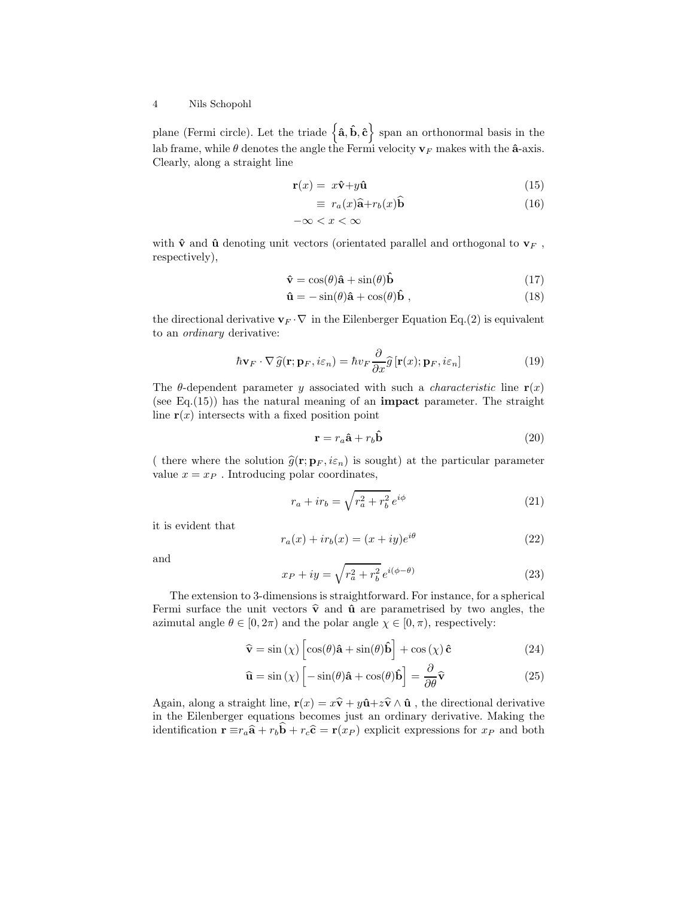plane (Fermi circle). Let the triade  $\{\hat{a}, \hat{b}, \hat{c}\}$  span an orthonormal basis in the lab frame, while  $\theta$  denotes the angle the Fermi velocity  $\mathbf{v}_F$  makes with the  $\hat{\mathbf{a}}$ -axis. Clearly, along a straight line

$$
\mathbf{r}(x) = x\hat{\mathbf{v}} + y\hat{\mathbf{u}} \tag{15}
$$

$$
\equiv r_a(x)\hat{\mathbf{a}} + r_b(x)\hat{\mathbf{b}}\tag{16}
$$

$$
-\infty < x < \infty
$$

with  $\hat{\mathbf{v}}$  and  $\hat{\mathbf{u}}$  denoting unit vectors (orientated parallel and orthogonal to  $\mathbf{v}_F$ , respectively),

$$
\hat{\mathbf{v}} = \cos(\theta)\hat{\mathbf{a}} + \sin(\theta)\hat{\mathbf{b}}\tag{17}
$$

$$
\hat{\mathbf{u}} = -\sin(\theta)\hat{\mathbf{a}} + \cos(\theta)\hat{\mathbf{b}}\,,\tag{18}
$$

the directional derivative  $\mathbf{v}_F \cdot \nabla$  in the Eilenberger Equation Eq.(2) is equivalent to an ordinary derivative:

$$
\hbar \mathbf{v}_F \cdot \nabla \hat{g}(\mathbf{r}; \mathbf{p}_F, i\varepsilon_n) = \hbar v_F \frac{\partial}{\partial x} \hat{g} [\mathbf{r}(x); \mathbf{p}_F, i\varepsilon_n]
$$
(19)

The  $\theta$ -dependent parameter y associated with such a *characteristic* line  $r(x)$ (see Eq. $(15)$ ) has the natural meaning of an **impact** parameter. The straight line  $r(x)$  intersects with a fixed position point

$$
\mathbf{r} = r_a \hat{\mathbf{a}} + r_b \hat{\mathbf{b}} \tag{20}
$$

( there where the solution  $\hat{g}(\mathbf{r}; \mathbf{p}_F, i\varepsilon_n)$  is sought) at the particular parameter value  $x = x_P$ . Introducing polar coordinates,

$$
r_a + ir_b = \sqrt{r_a^2 + r_b^2} e^{i\phi} \tag{21}
$$

it is evident that

$$
r_a(x) + ir_b(x) = (x + iy)e^{i\theta}
$$
\n(22)

and

$$
x_P + iy = \sqrt{r_a^2 + r_b^2} \, e^{i(\phi - \theta)} \tag{23}
$$

The extension to 3-dimensions is straightforward. For instance, for a spherical Fermi surface the unit vectors  $\hat{\mathbf{v}}$  and  $\hat{\mathbf{u}}$  are parametrised by two angles, the azimutal angle  $\theta \in [0, 2\pi)$  and the polar angle  $\chi \in [0, \pi)$ , respectively:

$$
\hat{\mathbf{v}} = \sin(\chi) \left[ \cos(\theta) \hat{\mathbf{a}} + \sin(\theta) \hat{\mathbf{b}} \right] + \cos(\chi) \hat{\mathbf{c}} \tag{24}
$$

$$
\hat{\mathbf{u}} = \sin(\chi) \left[ -\sin(\theta)\hat{\mathbf{a}} + \cos(\theta)\hat{\mathbf{b}} \right] = \frac{\partial}{\partial \theta} \hat{\mathbf{v}} \tag{25}
$$

Again, along a straight line,  $\mathbf{r}(x) = x\hat{\mathbf{v}} + y\hat{\mathbf{u}} + z\hat{\mathbf{v}} \wedge \hat{\mathbf{u}}$ , the directional derivative in the Eilenberger equations becomes just an ordinary derivative. Making the identification  $\mathbf{r} \equiv r_a \hat{\mathbf{a}} + r_b \mathbf{b} + r_c \hat{\mathbf{c}} = \mathbf{r}(x_P)$  explicit expressions for  $x_P$  and both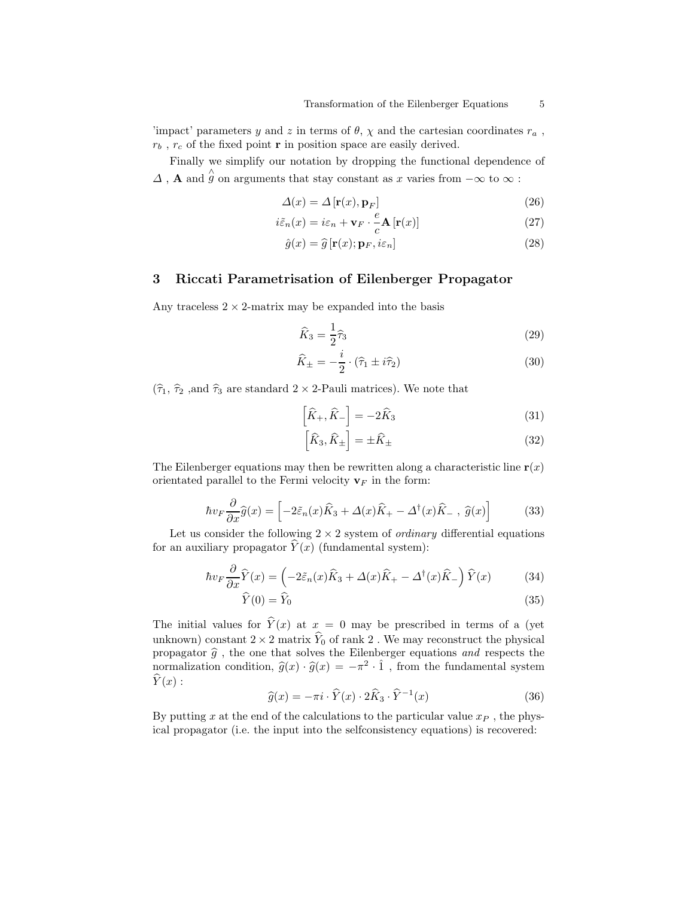'impact' parameters y and z in terms of  $\theta$ ,  $\chi$  and the cartesian coordinates  $r_a$ ,  $r_b$  ,  $r_c$  of the fixed point  ${\bf r}$  in position space are easily derived.

Finally we simplify our notation by dropping the functional dependence of  $\varDelta$  ,  ${\bf A}$  and  $\hat{\dot g}$  on arguments that stay constant as  $x$  varies from  $-\infty$  to  $\infty$  :

$$
\Delta(x) = \Delta \left[ \mathbf{r}(x), \mathbf{p}_F \right] \tag{26}
$$

$$
i\tilde{\varepsilon}_n(x) = i\varepsilon_n + \mathbf{v}_F \cdot \frac{e}{c} \mathbf{A} \left[ \mathbf{r}(x) \right]
$$
 (27)

$$
\hat{g}(x) = \hat{g} \left[ \mathbf{r}(x); \mathbf{p}_F, i\varepsilon_n \right]
$$
\n(28)

## 3 Riccati Parametrisation of Eilenberger Propagator

Any traceless  $2 \times 2$ -matrix may be expanded into the basis

$$
\widehat{K}_3 = \frac{1}{2}\widehat{\tau}_3\tag{29}
$$

$$
\widehat{K}_{\pm} = -\frac{i}{2} \cdot (\widehat{\tau}_1 \pm i\widehat{\tau}_2) \tag{30}
$$

 $(\widehat{\tau}_{1},\,\widehat{\tau}_{2}$  ,<br>and  $\widehat{\tau}_{3}$  are standard  $2\times2\text{-Pauli~matrices).}$  We note that

$$
\left[\hat{K}_{+}, \hat{K}_{-}\right] = -2\hat{K}_{3}
$$
\n(31)

$$
\left[\widehat{K}_3, \widehat{K}_\pm\right] = \pm \widehat{K}_\pm\tag{32}
$$

The Eilenberger equations may then be rewritten along a characteristic line  $r(x)$ orientated parallel to the Fermi velocity  $v_F$  in the form:

$$
\hbar v_F \frac{\partial}{\partial x} \hat{g}(x) = \left[ -2\tilde{\varepsilon}_n(x)\hat{K}_3 + \Delta(x)\hat{K}_+ - \Delta^\dagger(x)\hat{K}_-, \ \hat{g}(x) \right] \tag{33}
$$

Let us consider the following  $2 \times 2$  system of *ordinary* differential equations for an auxiliary propagator  $\hat{Y}(x)$  (fundamental system):

$$
\hbar v_F \frac{\partial}{\partial x} \hat{Y}(x) = \left(-2\tilde{\varepsilon}_n(x)\hat{K}_3 + \Delta(x)\hat{K}_+ - \Delta^\dagger(x)\hat{K}_-\right)\hat{Y}(x) \tag{34}
$$

$$
\hat{Y}(0) = \hat{Y}_0 \tag{35}
$$

The initial values for  $\hat{Y}(x)$  at  $x = 0$  may be prescribed in terms of a (yet unknown) constant  $2 \times 2$  matrix  $\widehat{Y}_0$  of rank 2. We may reconstruct the physical propagator  $\widehat{g}$  , the one that solves the Eilenberger equations  $\emph{and} \emph{ respects}$  the normalization condition,  $\widehat{g}(x) \cdot \widehat{g}(x) = -\pi^2 \cdot \widehat{1}$ , from the fundamental system  $\hat{Y}(x)$ :

$$
\widehat{g}(x) = -\pi i \cdot \widehat{Y}(x) \cdot 2\widehat{K}_3 \cdot \widehat{Y}^{-1}(x) \tag{36}
$$

By putting x at the end of the calculations to the particular value  $x_P$ , the physical propagator (i.e. the input into the selfconsistency equations) is recovered: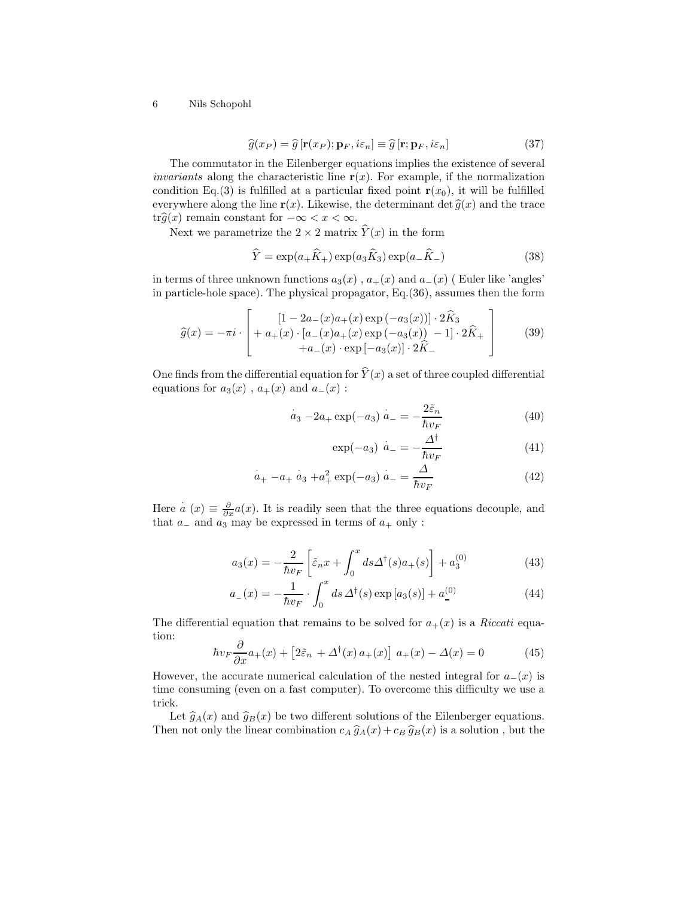$$
\widehat{g}(x_P) = \widehat{g}[\mathbf{r}(x_P); \mathbf{p}_F, i\varepsilon_n] \equiv \widehat{g}[\mathbf{r}; \mathbf{p}_F, i\varepsilon_n]
$$
\n(37)

The commutator in the Eilenberger equations implies the existence of several *invariants* along the characteristic line  $r(x)$ . For example, if the normalization condition Eq.(3) is fulfilled at a particular fixed point  $r(x_0)$ , it will be fulfilled everywhere along the line  $\mathbf{r}(x)$ . Likewise, the determinant det  $\hat{g}(x)$  and the trace tr $\widehat{g}(x)$  remain constant for  $-\infty < x < \infty$ .

Next we parametrize the  $2 \times 2$  matrix  $\hat{Y}(x)$  in the form

$$
\widehat{Y} = \exp(a_+\widehat{K}_+) \exp(a_3\widehat{K}_3) \exp(a_-\widehat{K}_-) \tag{38}
$$

in terms of three unknown functions  $a_3(x)$ ,  $a_+(x)$  and  $a_-(x)$  (Euler like 'angles' in particle-hole space). The physical propagator, Eq.(36), assumes then the form

$$
\widehat{g}(x) = -\pi i \cdot \begin{bmatrix} [1 - 2a_{-}(x)a_{+}(x) \exp(-a_{3}(x))] \cdot 2\widehat{K}_{3} \\ + a_{+}(x) \cdot [a_{-}(x)a_{+}(x) \exp(-a_{3}(x)) - 1] \cdot 2\widehat{K}_{+} \\ + a_{-}(x) \cdot \exp[-a_{3}(x)] \cdot 2\widehat{K}_{-} \end{bmatrix}
$$
(39)

One finds from the differential equation for  $\hat{Y}(x)$  a set of three coupled differential equations for  $a_3(x)$ ,  $a_+(x)$  and  $a_-(x)$ :

$$
\dot{a}_3 - 2a_+ \exp(-a_3) \dot{a}_- = -\frac{2\tilde{\varepsilon}_n}{\hbar v_F} \tag{40}
$$

$$
\exp(-a_3) \stackrel{\cdot}{a}_- = -\frac{\Delta^{\dagger}}{\hbar v_F} \tag{41}
$$

$$
a_{+} - a_{+} a_{3} + a_{+}^{2} \exp(-a_{3}) a_{-} = \frac{\Delta}{\hbar v_{F}}
$$
 (42)

Here  $a(x) \equiv \frac{\partial}{\partial x} a(x)$ . It is readily seen that the three equations decouple, and that  $a_$  and  $a_3$  may be expressed in terms of  $a_+$  only :

$$
a_3(x) = -\frac{2}{\hbar v_F} \left[ \tilde{\varepsilon}_n x + \int_0^x ds \Delta^\dagger(s) a_+(s) \right] + a_3^{(0)} \tag{43}
$$

$$
a_{-}(x) = -\frac{1}{\hbar v_{F}} \cdot \int_{0}^{x} ds \,\Delta^{\dagger}(s) \exp[a_{3}(s)] + a_{-}^{(0)} \tag{44}
$$

The differential equation that remains to be solved for  $a_{+}(x)$  is a *Riccati* equation:

$$
\hbar v_F \frac{\partial}{\partial x} a_+(x) + \left[2\tilde{\varepsilon}_n + \Delta^\dagger(x) a_+(x)\right] a_+(x) - \Delta(x) = 0 \tag{45}
$$

However, the accurate numerical calculation of the nested integral for  $a_-(x)$  is time consuming (even on a fast computer). To overcome this difficulty we use a trick.

Let  $\hat{g}_A(x)$  and  $\hat{g}_B(x)$  be two different solutions of the Eilenberger equations. Then not only the linear combination  $c_A \hat{g}_A(x) + c_B \hat{g}_B(x)$  is a solution, but the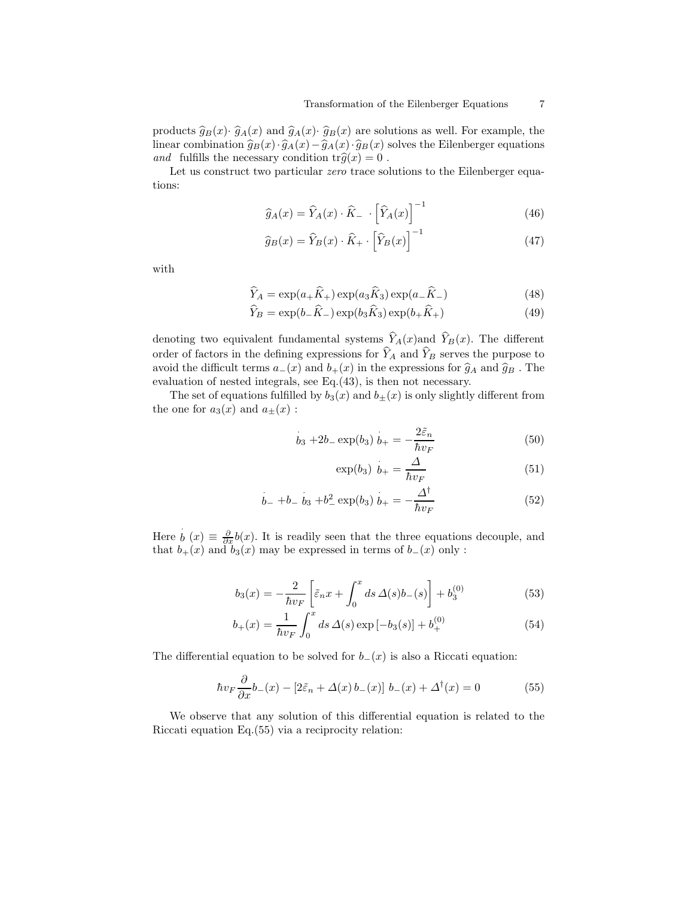products  $\hat{g}_B(x) \cdot \hat{g}_A(x)$  and  $\hat{g}_A(x) \cdot \hat{g}_B(x)$  are solutions as well. For example, the linear combination  $\hat{g}_B(x)\cdot\hat{g}_A(x)-\hat{g}_A(x)\cdot\hat{g}_B(x)$  solves the Eilenberger equations and fulfills the necessary condition  $\text{tr}\hat{g}(x) = 0$ .

Let us construct two particular *zero* trace solutions to the Eilenberger equations:

$$
\widehat{g}_A(x) = \widehat{Y}_A(x) \cdot \widehat{K}_- \cdot \left[ \widehat{Y}_A(x) \right]^{-1} \tag{46}
$$

$$
\widehat{g}_B(x) = \widehat{Y}_B(x) \cdot \widehat{K}_+ \cdot \left[ \widehat{Y}_B(x) \right]^{-1} \tag{47}
$$

with

$$
\widehat{Y}_A = \exp(a_+\widehat{K}_+) \exp(a_3\widehat{K}_3) \exp(a_-\widehat{K}_-) \tag{48}
$$

$$
\widehat{Y}_B = \exp(b_-\widehat{K}_-) \exp(b_3\widehat{K}_3) \exp(b_+\widehat{K}_+) \tag{49}
$$

denoting two equivalent fundamental systems  $\hat{Y}_A(x)$  and  $\hat{Y}_B(x)$ . The different order of factors in the defining expressions for  $\widehat{Y}_A$  and  $\widehat{Y}_B$  serves the purpose to avoid the difficult terms  $a_-(x)$  and  $b_+(x)$  in the expressions for  $\hat{g}_A$  and  $\hat{g}_B$ . The evaluation of nested integrals, see Eq.(43), is then not necessary.

The set of equations fulfilled by  $b_3(x)$  and  $b_{\pm}(x)$  is only slightly different from the one for  $a_3(x)$  and  $a_{\pm}(x)$ :

$$
\dot{b}_3 + 2b_-\exp(b_3)\,\dot{b}_+ = -\frac{2\tilde{\varepsilon}_n}{\hbar v_F} \tag{50}
$$

$$
\exp(b_3) \stackrel{\cdot}{b}_+ = \frac{\Delta}{\hbar v_F} \tag{51}
$$

$$
b_- + b_- \, b_3 + b_-^2 \exp(b_3) \, b_+ = -\frac{\Delta^{\dagger}}{\hbar v_F} \tag{52}
$$

Here  $b(x) \equiv \frac{\partial}{\partial x}b(x)$ . It is readily seen that the three equations decouple, and that  $b_{+}(x)$  and  $b_{3}(x)$  may be expressed in terms of  $b_{-}(x)$  only :

$$
b_3(x) = -\frac{2}{\hbar v_F} \left[ \tilde{\varepsilon}_n x + \int_0^x ds \, \Delta(s) b_-(s) \right] + b_3^{(0)} \tag{53}
$$

$$
b_{+}(x) = \frac{1}{\hbar v_{F}} \int_{0}^{x} ds \,\Delta(s) \exp\left[-b_{3}(s)\right] + b_{+}^{(0)} \tag{54}
$$

The differential equation to be solved for  $b_-(x)$  is also a Riccati equation:

$$
\hbar v_F \frac{\partial}{\partial x} b_-(x) - [2\tilde{\varepsilon}_n + \Delta(x) b_-(x)] b_-(x) + \Delta^{\dagger}(x) = 0 \tag{55}
$$

We observe that any solution of this differential equation is related to the Riccati equation Eq.(55) via a reciprocity relation: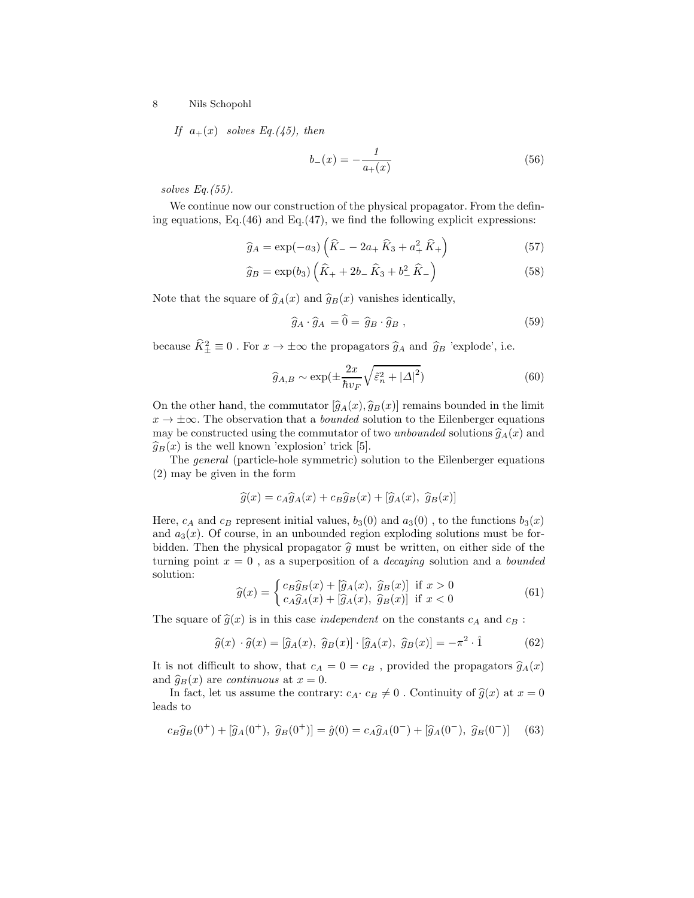If  $a_{+}(x)$  solves Eq.(45), then

$$
b_{-}(x) = -\frac{1}{a_{+}(x)}\tag{56}
$$

solves Eq.(55).

We continue now our construction of the physical propagator. From the defining equations, Eq.(46) and Eq.(47), we find the following explicit expressions:

$$
\hat{g}_A = \exp(-a_3) \left( \hat{K}_- - 2a_+ \hat{K}_3 + a_+^2 \hat{K}_+ \right) \tag{57}
$$

$$
\widehat{g}_B = \exp(b_3) \left( \widehat{K}_+ + 2b_- \,\widehat{K}_3 + b_-^2 \,\widehat{K}_-\right) \tag{58}
$$

Note that the square of  $\hat{g}_A(x)$  and  $\hat{g}_B(x)$  vanishes identically,

$$
\widehat{g}_A \cdot \widehat{g}_A = 0 = \widehat{g}_B \cdot \widehat{g}_B , \qquad (59)
$$

because  $\hat{K}_{\pm}^2 \equiv 0$ . For  $x \to \pm \infty$  the propagators  $\hat{g}_A$  and  $\hat{g}_B$  'explode', i.e.

$$
\widehat{g}_{A,B} \sim \exp\left(\pm \frac{2x}{\hbar v_F} \sqrt{\tilde{\varepsilon}_n^2 + |\Delta|^2}\right) \tag{60}
$$

On the other hand, the commutator  $[\hat{g}_A(x), \hat{g}_B(x)]$  remains bounded in the limit  $x \to \pm \infty$ . The observation that a *bounded* solution to the Eilenberger equations may be constructed using the commutator of two unbounded solutions  $\hat{g}_A(x)$  and  $\widehat{g}_B(x)$  is the well known 'explosion' trick [5].

The general (particle-hole symmetric) solution to the Eilenberger equations (2) may be given in the form

$$
\widehat{g}(x) = c_A \widehat{g}_A(x) + c_B \widehat{g}_B(x) + [\widehat{g}_A(x), \ \widehat{g}_B(x)]
$$

Here,  $c_A$  and  $c_B$  represent initial values,  $b_3(0)$  and  $a_3(0)$ , to the functions  $b_3(x)$ and  $a_3(x)$ . Of course, in an unbounded region exploding solutions must be forbidden. Then the physical propagator  $\hat{g}$  must be written, on either side of the turning point  $x = 0$ , as a superposition of a *decaying* solution and a *bounded* solution:

$$
\widehat{g}(x) = \begin{cases} c_B \widehat{g}_B(x) + [\widehat{g}_A(x), \ \widehat{g}_B(x)] & \text{if } x > 0\\ c_A \widehat{g}_A(x) + [\widehat{g}_A(x), \ \widehat{g}_B(x)] & \text{if } x < 0 \end{cases}
$$
(61)

The square of  $\hat{g}(x)$  is in this case *independent* on the constants  $c_A$  and  $c_B$ :

$$
\widehat{g}(x) \cdot \widehat{g}(x) = [\widehat{g}_A(x), \ \widehat{g}_B(x)] \cdot [\widehat{g}_A(x), \ \widehat{g}_B(x)] = -\pi^2 \cdot \widehat{1}
$$
 (62)

It is not difficult to show, that  $c_A = 0 = c_B$ , provided the propagators  $\hat{g}_A(x)$ and  $\hat{g}_B(x)$  are *continuous* at  $x = 0$ .

In fact, let us assume the contrary:  $c_A \cdot c_B \neq 0$ . Continuity of  $\hat{g}(x)$  at  $x = 0$ leads to

$$
c_B \hat{g}_B(0^+) + [\hat{g}_A(0^+), \ \hat{g}_B(0^+)] = \hat{g}(0) = c_A \hat{g}_A(0^-) + [\hat{g}_A(0^-), \ \hat{g}_B(0^-)] \tag{63}
$$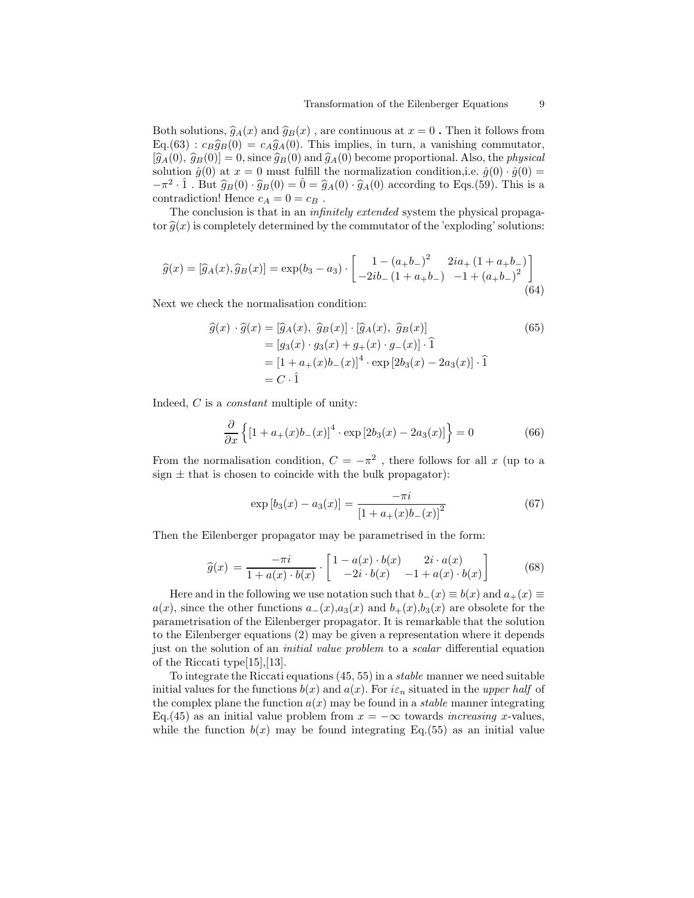Both solutions,  $\hat{g}_A(x)$  and  $\hat{g}_B(x)$ , are continuous at  $x = 0$ . Then it follows from  $\text{Eq.}(63): c_B\hat{g}_B(0) = c_A\hat{g}_A(0)$ . This implies, in turn, a vanishing commutator,  $[\hat{g}_A(0), \hat{g}_B(0)] = 0$ , since  $\hat{g}_B(0)$  and  $\hat{g}_A(0)$  become proportional. Also, the *physical* solution  $\hat{g}(0)$  at  $x = 0$  must fulfill the normalization condition, i.e.  $\hat{g}(0) \cdot \hat{g}(0) =$  $-\pi^2 \cdot \hat{1}$ . But  $\hat{g}_B(0) \cdot \hat{g}_B(0) = \hat{0} = \hat{g}_A(0) \cdot \hat{g}_A(0)$  according to Eqs.(59). This is a contradiction! Hence  $c_A = 0 = c_B$ .

The conclusion is that in an infinitely extended system the physical propagator  $\hat{q}(x)$  is completely determined by the commutator of the 'exploding' solutions:

$$
\widehat{g}(x) = [\widehat{g}_A(x), \widehat{g}_B(x)] = \exp(b_3 - a_3) \cdot \begin{bmatrix} 1 - (a_+ b_-)^2 & 2ia_+ (1 + a_+ b_-) \\ -2ib_- (1 + a_+ b_-) & -1 + (a_+ b_-)^2 \end{bmatrix}
$$
(64)

Next we check the normalisation condition:

$$
\begin{aligned}\n\widehat{g}(x) \cdot \widehat{g}(x) &= \left[ \widehat{g}_A(x), \ \widehat{g}_B(x) \right] \cdot \left[ \widehat{g}_A(x), \ \widehat{g}_B(x) \right] \\
&= \left[ g_3(x) \cdot g_3(x) + g_+(x) \cdot g_-(x) \right] \cdot \widehat{1} \\
&= \left[ 1 + a_+(x)b_-(x) \right]^4 \cdot \exp\left[ 2b_3(x) - 2a_3(x) \right] \cdot \widehat{1} \\
&= C \cdot \widehat{1}\n\end{aligned} \tag{65}
$$

Indeed, C is a constant multiple of unity:

$$
\frac{\partial}{\partial x} \left\{ \left[ 1 + a_+(x)b_-(x) \right]^4 \cdot \exp \left[ 2b_3(x) - 2a_3(x) \right] \right\} = 0 \tag{66}
$$

From the normalisation condition,  $C = -\pi^2$ , there follows for all x (up to a sign  $\pm$  that is chosen to coincide with the bulk propagator):

$$
\exp\left[b_3(x) - a_3(x)\right] = \frac{-\pi i}{\left[1 + a_+(x)b_-(x)\right]^2} \tag{67}
$$

Then the Eilenberger propagator may be parametrised in the form:

$$
\widehat{g}(x) = \frac{-\pi i}{1 + a(x) \cdot b(x)} \cdot \begin{bmatrix} 1 - a(x) \cdot b(x) & 2i \cdot a(x) \\ -2i \cdot b(x) & -1 + a(x) \cdot b(x) \end{bmatrix}
$$
(68)

Here and in the following we use notation such that  $b_-(x) \equiv b(x)$  and  $a_+(x) \equiv$  $a(x)$ , since the other functions  $a_-(x),a_3(x)$  and  $b_+(x),b_3(x)$  are obsolete for the parametrisation of the Eilenberger propagator. It is remarkable that the solution to the Eilenberger equations (2) may be given a representation where it depends just on the solution of an *initial value problem* to a *scalar* differential equation of the Riccati type[15],[13].

To integrate the Riccati equations  $(45, 55)$  in a *stable* manner we need suitable initial values for the functions  $b(x)$  and  $a(x)$ . For  $i\epsilon_n$  situated in the upper half of the complex plane the function  $a(x)$  may be found in a *stable* manner integrating Eq.(45) as an initial value problem from  $x = -\infty$  towards *increasing x*-values, while the function  $b(x)$  may be found integrating Eq.(55) as an initial value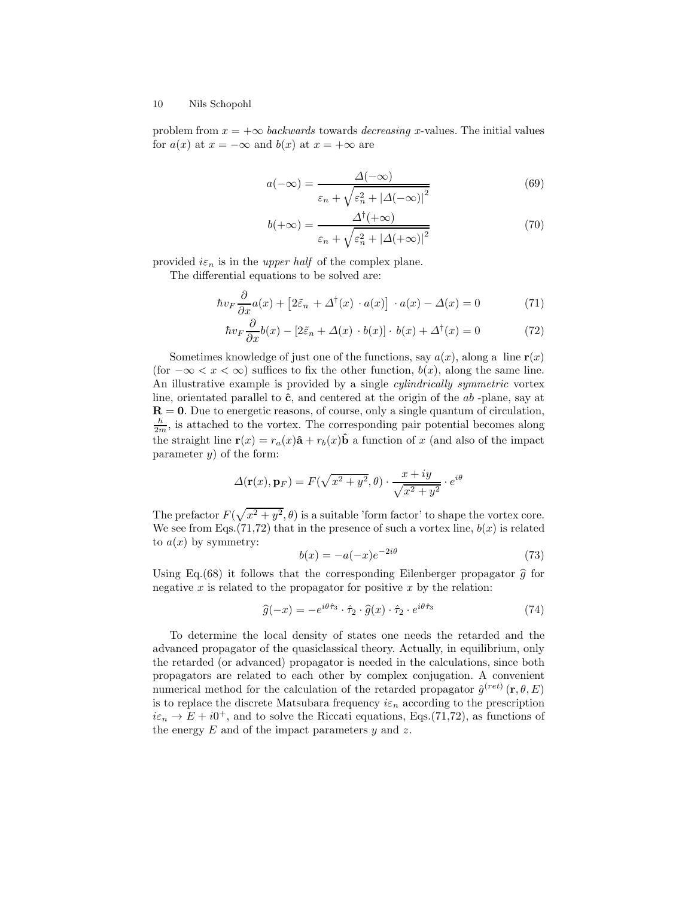problem from  $x = +\infty$  backwards towards decreasing x-values. The initial values for  $a(x)$  at  $x = -\infty$  and  $b(x)$  at  $x = +\infty$  are

$$
a(-\infty) = \frac{\Delta(-\infty)}{\varepsilon_n + \sqrt{\varepsilon_n^2 + |\Delta(-\infty)|^2}}
$$
(69)

$$
b(+\infty) = \frac{\Delta^{\dagger}(+\infty)}{\varepsilon_n + \sqrt{\varepsilon_n^2 + |\Delta(+\infty)|^2}}
$$
(70)

provided  $i\varepsilon_n$  is in the upper half of the complex plane.

The differential equations to be solved are:

∂

$$
\hbar v_F \frac{\partial}{\partial x} a(x) + \left[2\tilde{\varepsilon}_n + \Delta^\dagger(x) \cdot a(x)\right] \cdot a(x) - \Delta(x) = 0 \tag{71}
$$

$$
\hbar v_F \frac{\partial}{\partial x} b(x) - [2\tilde{\varepsilon}_n + \Delta(x) \cdot b(x)] \cdot b(x) + \Delta^{\dagger}(x) = 0 \tag{72}
$$

Sometimes knowledge of just one of the functions, say  $a(x)$ , along a line  $r(x)$ (for  $-\infty < x < \infty$ ) suffices to fix the other function,  $b(x)$ , along the same line. An illustrative example is provided by a single *cylindrically symmetric* vortex line, orientated parallel to  $\hat{\mathbf{c}}$ , and centered at the origin of the  $ab$ -plane, say at  $R = 0$ . Due to energetic reasons, of course, only a single quantum of circulation,  $\frac{h}{2m}$ , is attached to the vortex. The corresponding pair potential becomes along the straight line  $\mathbf{r}(x) = r_a(x)\hat{\mathbf{a}} + r_b(x)\hat{\mathbf{b}}$  a function of x (and also of the impact parameter  $y$ ) of the form:

$$
\Delta(\mathbf{r}(x), \mathbf{p}_F) = F(\sqrt{x^2 + y^2}, \theta) \cdot \frac{x + iy}{\sqrt{x^2 + y^2}} \cdot e^{i\theta}
$$

The prefactor  $F(\sqrt{x^2+y^2},\theta)$  is a suitable 'form factor' to shape the vortex core. We see from Eqs.  $(71,72)$  that in the presence of such a vortex line,  $b(x)$  is related to  $a(x)$  by symmetry:

$$
b(x) = -a(-x)e^{-2i\theta} \tag{73}
$$

Using Eq.(68) it follows that the corresponding Eilenberger propagator  $\hat{g}$  for negative x is related to the propagator for positive x by the relation:

$$
\widehat{g}(-x) = -e^{i\theta \hat{\tau}_3} \cdot \hat{\tau}_2 \cdot \widehat{g}(x) \cdot \hat{\tau}_2 \cdot e^{i\theta \hat{\tau}_3} \tag{74}
$$

To determine the local density of states one needs the retarded and the advanced propagator of the quasiclassical theory. Actually, in equilibrium, only the retarded (or advanced) propagator is needed in the calculations, since both propagators are related to each other by complex conjugation. A convenient numerical method for the calculation of the retarded propagator  $\hat{g}^{(ret)}(\mathbf{r},\theta,E)$ is to replace the discrete Matsubara frequency  $i\varepsilon_n$  according to the prescription  $i\varepsilon_n \to E + i0^+$ , and to solve the Riccati equations, Eqs.(71,72), as functions of the energy  $E$  and of the impact parameters  $y$  and  $z$ .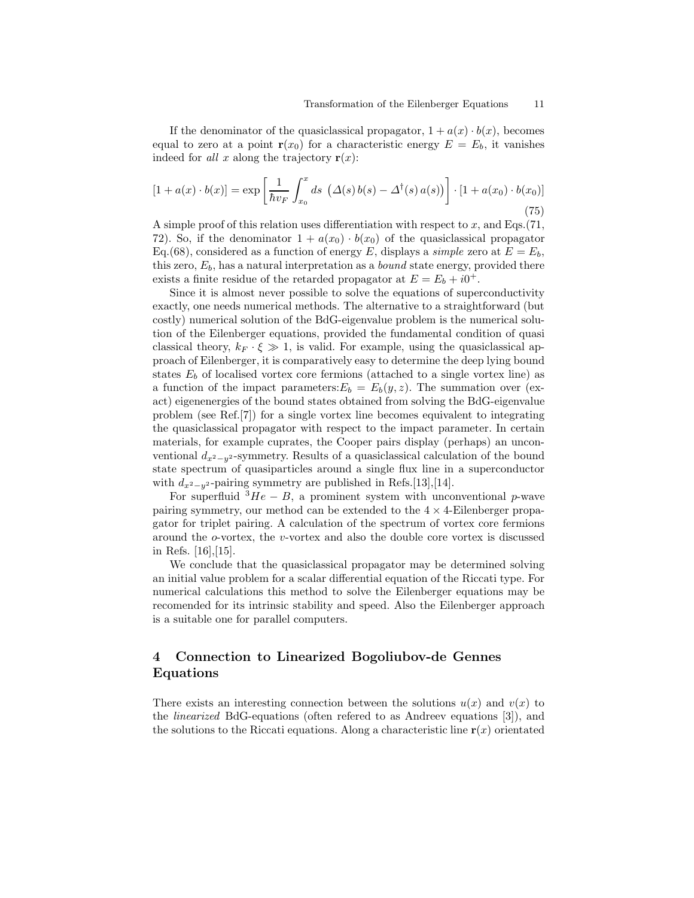If the denominator of the quasiclassical propagator,  $1 + a(x) \cdot b(x)$ , becomes equal to zero at a point  $r(x_0)$  for a characteristic energy  $E = E_b$ , it vanishes indeed for all x along the trajectory  $r(x)$ :

$$
[1 + a(x) \cdot b(x)] = \exp\left[\frac{1}{\hbar v_F} \int_{x_0}^x ds \, \left(\Delta(s) b(s) - \Delta^\dagger(s) a(s)\right)\right] \cdot [1 + a(x_0) \cdot b(x_0)] \tag{75}
$$

A simple proof of this relation uses differentiation with respect to  $x$ , and Eqs.(71, 72). So, if the denominator  $1 + a(x_0) \cdot b(x_0)$  of the quasiclassical propagator Eq.(68), considered as a function of energy E, displays a *simple* zero at  $E = E_b$ , this zero,  $E_b$ , has a natural interpretation as a *bound* state energy, provided there exists a finite residue of the retarded propagator at  $E = E_b + i0^+$ .

Since it is almost never possible to solve the equations of superconductivity exactly, one needs numerical methods. The alternative to a straightforward (but costly) numerical solution of the BdG-eigenvalue problem is the numerical solution of the Eilenberger equations, provided the fundamental condition of quasi classical theory,  $k_F \cdot \xi \gg 1$ , is valid. For example, using the quasiclassical approach of Eilenberger, it is comparatively easy to determine the deep lying bound states  $E_b$  of localised vortex core fermions (attached to a single vortex line) as a function of the impact parameters:  $E_b = E_b(y, z)$ . The summation over (exact) eigenenergies of the bound states obtained from solving the BdG-eigenvalue problem (see Ref.[7]) for a single vortex line becomes equivalent to integrating the quasiclassical propagator with respect to the impact parameter. In certain materials, for example cuprates, the Cooper pairs display (perhaps) an unconventional  $d_{x^2-y^2}$ -symmetry. Results of a quasiclassical calculation of the bound state spectrum of quasiparticles around a single flux line in a superconductor with  $d_{x^2-y^2}$ -pairing symmetry are published in Refs.[13],[14].

For superfluid  ${}^{3}He - B$ , a prominent system with unconventional p-wave pairing symmetry, our method can be extended to the  $4 \times 4$ -Eilenberger propagator for triplet pairing. A calculation of the spectrum of vortex core fermions around the o-vortex, the v-vortex and also the double core vortex is discussed in Refs. [16],[15].

We conclude that the quasiclassical propagator may be determined solving an initial value problem for a scalar differential equation of the Riccati type. For numerical calculations this method to solve the Eilenberger equations may be recomended for its intrinsic stability and speed. Also the Eilenberger approach is a suitable one for parallel computers.

# 4 Connection to Linearized Bogoliubov-de Gennes Equations

There exists an interesting connection between the solutions  $u(x)$  and  $v(x)$  to the linearized BdG-equations (often refered to as Andreev equations [3]), and the solutions to the Riccati equations. Along a characteristic line  $r(x)$  orientated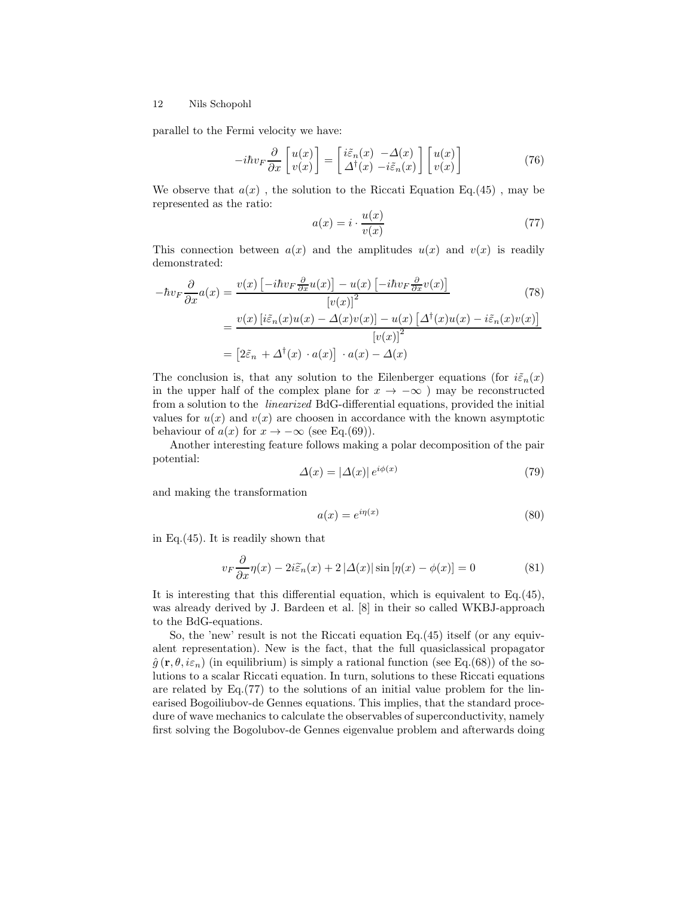parallel to the Fermi velocity we have:

$$
-i\hbar v_F \frac{\partial}{\partial x} \begin{bmatrix} u(x) \\ v(x) \end{bmatrix} = \begin{bmatrix} i\tilde{\varepsilon}_n(x) & -\Delta(x) \\ \Delta^{\dagger}(x) & -i\tilde{\varepsilon}_n(x) \end{bmatrix} \begin{bmatrix} u(x) \\ v(x) \end{bmatrix}
$$
(76)

We observe that  $a(x)$ , the solution to the Riccati Equation Eq.(45), may be represented as the ratio:

$$
a(x) = i \cdot \frac{u(x)}{v(x)}\tag{77}
$$

This connection between  $a(x)$  and the amplitudes  $u(x)$  and  $v(x)$  is readily demonstrated:

$$
-\hbar v_F \frac{\partial}{\partial x} a(x) = \frac{v(x) \left[ -i\hbar v_F \frac{\partial}{\partial x} u(x) \right] - u(x) \left[ -i\hbar v_F \frac{\partial}{\partial x} v(x) \right]}{[v(x)]^2}
$$
(78)  

$$
= \frac{v(x) \left[ i\tilde{\varepsilon}_n(x)u(x) - \Delta(x)v(x) \right] - u(x) \left[ \Delta^{\dagger}(x)u(x) - i\tilde{\varepsilon}_n(x)v(x) \right]}{[v(x)]^2}
$$
  

$$
= \left[ 2\tilde{\varepsilon}_n + \Delta^{\dagger}(x) \cdot a(x) \right] \cdot a(x) - \Delta(x)
$$

The conclusion is, that any solution to the Eilenberger equations (for  $i\tilde{\varepsilon}_n(x)$ ) in the upper half of the complex plane for  $x \to -\infty$  ) may be reconstructed from a solution to the linearized BdG-differential equations, provided the initial values for  $u(x)$  and  $v(x)$  are choosen in accordance with the known asymptotic behaviour of  $a(x)$  for  $x \to -\infty$  (see Eq.(69)).

Another interesting feature follows making a polar decomposition of the pair potential:

$$
\Delta(x) = |\Delta(x)| e^{i\phi(x)} \tag{79}
$$

and making the transformation

$$
a(x) = e^{i\eta(x)}\tag{80}
$$

in Eq.(45). It is readily shown that

$$
v_F \frac{\partial}{\partial x} \eta(x) - 2i \tilde{\varepsilon}_n(x) + 2 |\Delta(x)| \sin[\eta(x) - \phi(x)] = 0 \tag{81}
$$

It is interesting that this differential equation, which is equivalent to Eq.(45), was already derived by J. Bardeen et al. [8] in their so called WKBJ-approach to the BdG-equations.

So, the 'new' result is not the Riccati equation Eq.(45) itself (or any equivalent representation). New is the fact, that the full quasiclassical propagator  $\hat{g}(\mathbf{r},\theta,i\varepsilon_n)$  (in equilibrium) is simply a rational function (see Eq.(68)) of the solutions to a scalar Riccati equation. In turn, solutions to these Riccati equations are related by Eq.(77) to the solutions of an initial value problem for the linearised Bogoiliubov-de Gennes equations. This implies, that the standard procedure of wave mechanics to calculate the observables of superconductivity, namely first solving the Bogolubov-de Gennes eigenvalue problem and afterwards doing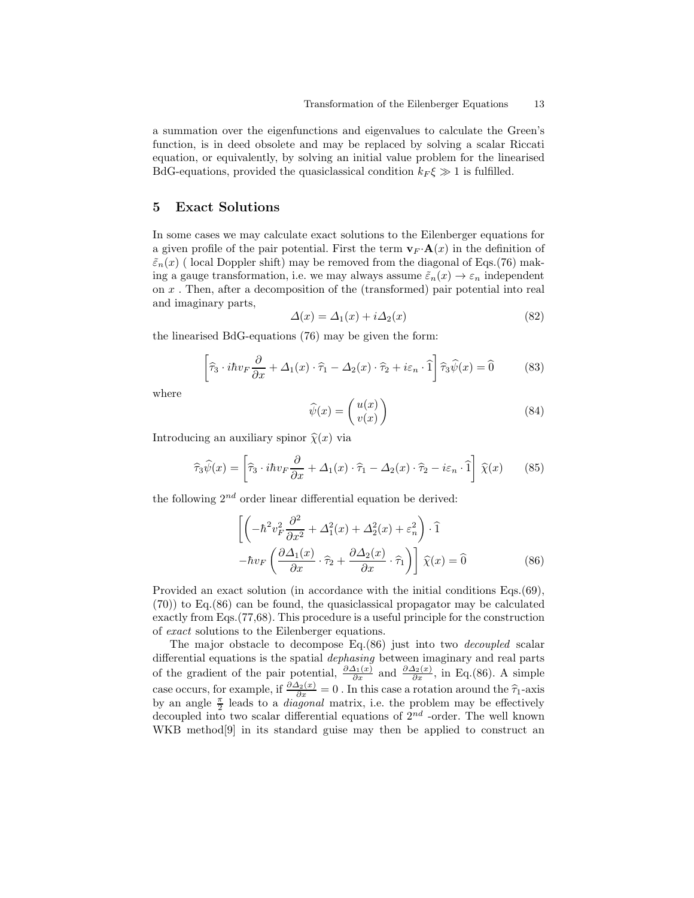a summation over the eigenfunctions and eigenvalues to calculate the Green's function, is in deed obsolete and may be replaced by solving a scalar Riccati equation, or equivalently, by solving an initial value problem for the linearised BdG-equations, provided the quasiclassical condition  $k_F \xi \gg 1$  is fulfilled.

# 5 Exact Solutions

In some cases we may calculate exact solutions to the Eilenberger equations for a given profile of the pair potential. First the term  $\mathbf{v}_F \cdot \mathbf{A}(x)$  in the definition of  $\tilde{\varepsilon}_n(x)$  (local Doppler shift) may be removed from the diagonal of Eqs.(76) making a gauge transformation, i.e. we may always assume  $\tilde{\varepsilon}_n(x) \to \varepsilon_n$  independent on x . Then, after a decomposition of the (transformed) pair potential into real and imaginary parts,

$$
\Delta(x) = \Delta_1(x) + i\Delta_2(x) \tag{82}
$$

the linearised BdG-equations (76) may be given the form:

$$
\left[\hat{\tau}_3 \cdot i\hbar v_F \frac{\partial}{\partial x} + \Delta_1(x) \cdot \hat{\tau}_1 - \Delta_2(x) \cdot \hat{\tau}_2 + i\varepsilon_n \cdot \hat{1}\right] \hat{\tau}_3 \hat{\psi}(x) = \hat{0}
$$
 (83)

where

$$
\widehat{\psi}(x) = \begin{pmatrix} u(x) \\ v(x) \end{pmatrix} \tag{84}
$$

Introducing an auxiliary spinor  $\hat{\chi}(x)$  via

$$
\widehat{\tau}_3 \widehat{\psi}(x) = \left[ \widehat{\tau}_3 \cdot i \hbar v_F \frac{\partial}{\partial x} + \Delta_1(x) \cdot \widehat{\tau}_1 - \Delta_2(x) \cdot \widehat{\tau}_2 - i \varepsilon_n \cdot \widehat{1} \right] \widehat{\chi}(x) \tag{85}
$$

the following  $2^{nd}$  order linear differential equation be derived:

$$
\left[ \left( -\hbar^2 v_F^2 \frac{\partial^2}{\partial x^2} + \Delta_1^2(x) + \Delta_2^2(x) + \varepsilon_n^2 \right) \cdot \hat{1} \right]
$$

$$
-\hbar v_F \left( \frac{\partial \Delta_1(x)}{\partial x} \cdot \hat{\tau}_2 + \frac{\partial \Delta_2(x)}{\partial x} \cdot \hat{\tau}_1 \right) \right] \hat{\chi}(x) = \hat{0}
$$
(86)

Provided an exact solution (in accordance with the initial conditions Eqs.(69), (70)) to Eq.(86) can be found, the quasiclassical propagator may be calculated exactly from Eqs.(77,68). This procedure is a useful principle for the construction of exact solutions to the Eilenberger equations.

The major obstacle to decompose Eq.(86) just into two decoupled scalar differential equations is the spatial dephasing between imaginary and real parts of the gradient of the pair potential,  $\frac{\partial \Delta_1(x)}{\partial x}$  and  $\frac{\partial \Delta_2(x)}{\partial x}$ , in Eq.(86). A simple case occurs, for example, if  $\frac{\partial \Delta_2(x)}{\partial x} = 0$ . In this case a rotation around the  $\hat{\tau}_1$ -axis by an angle  $\frac{\pi}{2}$  leads to a *diagonal* matrix, i.e. the problem may be effectively decoupled into two scalar differential equations of  $2^{nd}$  -order. The well known WKB method<sup>[9]</sup> in its standard guise may then be applied to construct an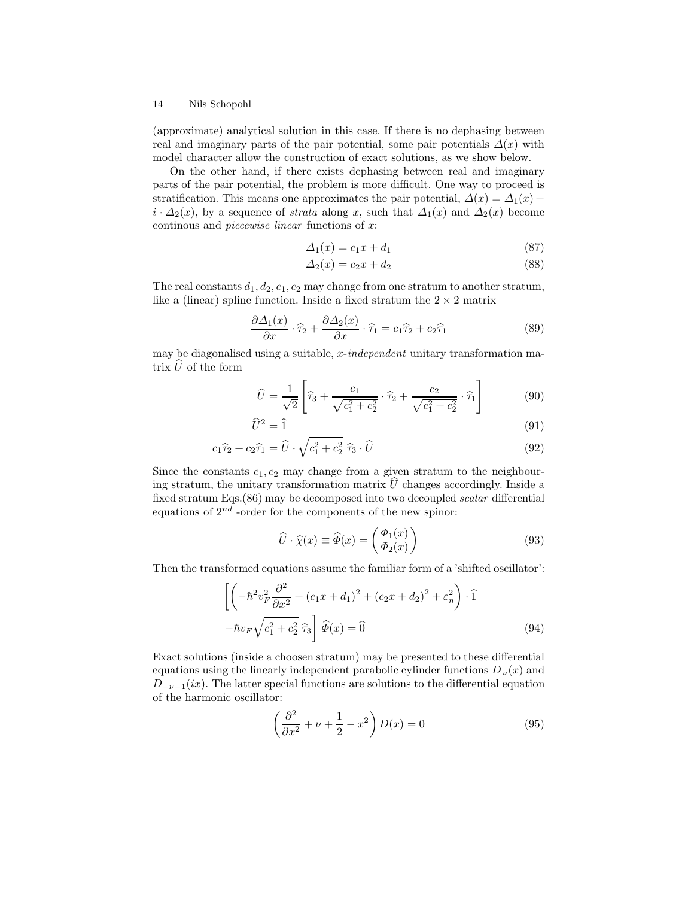(approximate) analytical solution in this case. If there is no dephasing between real and imaginary parts of the pair potential, some pair potentials  $\Delta(x)$  with model character allow the construction of exact solutions, as we show below.

On the other hand, if there exists dephasing between real and imaginary parts of the pair potential, the problem is more difficult. One way to proceed is stratification. This means one approximates the pair potential,  $\Delta(x) = \Delta_1(x) +$  $i \cdot \Delta_2(x)$ , by a sequence of *strata* along x, such that  $\Delta_1(x)$  and  $\Delta_2(x)$  become continous and piecewise linear functions of x:

$$
\Delta_1(x) = c_1 x + d_1 \tag{87}
$$

$$
\Delta_2(x) = c_2 x + d_2 \tag{88}
$$

The real constants  $d_1, d_2, c_1, c_2$  may change from one stratum to another stratum, like a (linear) spline function. Inside a fixed stratum the  $2\times 2$  matrix

$$
\frac{\partial \Delta_1(x)}{\partial x} \cdot \hat{\tau}_2 + \frac{\partial \Delta_2(x)}{\partial x} \cdot \hat{\tau}_1 = c_1 \hat{\tau}_2 + c_2 \hat{\tau}_1 \tag{89}
$$

may be diagonalised using a suitable,  $x$ -independent unitary transformation matrix  $\hat{U}$  of the form

$$
\hat{U} = \frac{1}{\sqrt{2}} \left[ \hat{\tau}_3 + \frac{c_1}{\sqrt{c_1^2 + c_2^2}} \cdot \hat{\tau}_2 + \frac{c_2}{\sqrt{c_1^2 + c_2^2}} \cdot \hat{\tau}_1 \right]
$$
(90)

$$
\widehat{U}^2 = \widehat{1} \tag{91}
$$

$$
c_1\hat{\tau}_2 + c_2\hat{\tau}_1 = \hat{U} \cdot \sqrt{c_1^2 + c_2^2} \hat{\tau}_3 \cdot \hat{U}
$$
\n(92)

Since the constants  $c_1, c_2$  may change from a given stratum to the neighbouring stratum, the unitary transformation matrix  $\hat{U}$  changes accordingly. Inside a fixed stratum Eqs.(86) may be decomposed into two decoupled scalar differential equations of  $2^{nd}$  -order for the components of the new spinor:

$$
\widehat{U} \cdot \widehat{\chi}(x) \equiv \widehat{\Phi}(x) = \begin{pmatrix} \Phi_1(x) \\ \Phi_2(x) \end{pmatrix}
$$
\n(93)

Then the transformed equations assume the familiar form of a 'shifted oscillator':

$$
\left[ \left( -\hbar^2 v_F^2 \frac{\partial^2}{\partial x^2} + (c_1 x + d_1)^2 + (c_2 x + d_2)^2 + \varepsilon_n^2 \right) \cdot \hat{1} \right]
$$

$$
-\hbar v_F \sqrt{c_1^2 + c_2^2} \hat{\tau}_3 \right] \hat{\Phi}(x) = \hat{0}
$$
(94)

Exact solutions (inside a choosen stratum) may be presented to these differential equations using the linearly independent parabolic cylinder functions  $D_{\nu}(x)$  and  $D_{-\nu-1}(ix)$ . The latter special functions are solutions to the differential equation of the harmonic oscillator:

$$
\left(\frac{\partial^2}{\partial x^2} + \nu + \frac{1}{2} - x^2\right)D(x) = 0\tag{95}
$$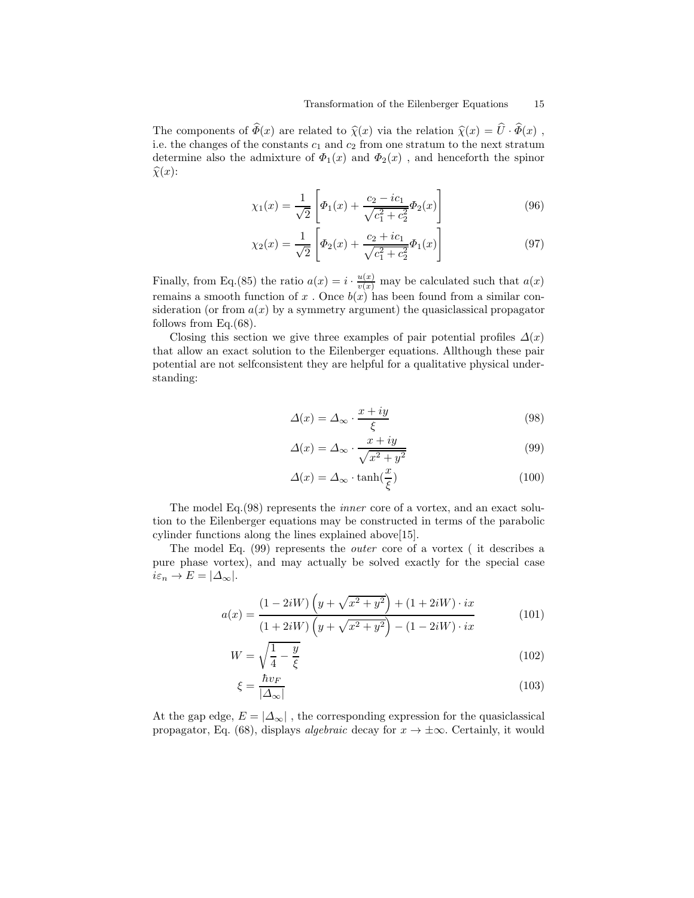The components of  $\widehat{\Phi}(x)$  are related to  $\widehat{\chi}(x)$  via the relation  $\widehat{\chi}(x) = \widehat{U} \cdot \widehat{\Phi}(x)$ , i.e. the changes of the constants  $c_1$  and  $c_2$  from one stratum to the next stratum determine also the admixture of  $\Phi_1(x)$  and  $\Phi_2(x)$ , and henceforth the spinor  $\widehat{\chi}(x)$ :

$$
\chi_1(x) = \frac{1}{\sqrt{2}} \left[ \Phi_1(x) + \frac{c_2 - ic_1}{\sqrt{c_1^2 + c_2^2}} \Phi_2(x) \right]
$$
(96)

$$
\chi_2(x) = \frac{1}{\sqrt{2}} \left[ \Phi_2(x) + \frac{c_2 + ic_1}{\sqrt{c_1^2 + c_2^2}} \Phi_1(x) \right]
$$
(97)

Finally, from Eq.(85) the ratio  $a(x) = i \cdot \frac{u(x)}{v(x)}$  may be calculated such that  $a(x)$ remains a smooth function of x. Once  $b(x)$  has been found from a similar consideration (or from  $a(x)$  by a symmetry argument) the quasiclassical propagator follows from Eq.(68).

Closing this section we give three examples of pair potential profiles  $\Delta(x)$ that allow an exact solution to the Eilenberger equations. Allthough these pair potential are not selfconsistent they are helpful for a qualitative physical understanding:

$$
\Delta(x) = \Delta_{\infty} \cdot \frac{x + iy}{\xi} \tag{98}
$$

$$
\Delta(x) = \Delta_{\infty} \cdot \frac{x + iy}{\sqrt{x^2 + y^2}} \tag{99}
$$

$$
\Delta(x) = \Delta_{\infty} \cdot \tanh(\frac{x}{\xi}) \tag{100}
$$

The model Eq.(98) represents the inner core of a vortex, and an exact solution to the Eilenberger equations may be constructed in terms of the parabolic cylinder functions along the lines explained above[15].

The model Eq. (99) represents the outer core of a vortex ( it describes a pure phase vortex), and may actually be solved exactly for the special case  $i\varepsilon_n \to E = |\Delta_{\infty}|.$ 

$$
a(x) = \frac{(1 - 2iW) (y + \sqrt{x^2 + y^2}) + (1 + 2iW) \cdot ix}{(1 + 2iW) (y + \sqrt{x^2 + y^2}) - (1 - 2iW) \cdot ix}
$$
(101)

$$
W = \sqrt{\frac{1}{4} - \frac{y}{\xi}}\tag{102}
$$

$$
\xi = \frac{\hbar v_F}{|\Delta_{\infty}|} \tag{103}
$$

At the gap edge,  $E = |\Delta_{\infty}|$ , the corresponding expression for the quasiclassical propagator, Eq. (68), displays *algebraic* decay for  $x \to \pm \infty$ . Certainly, it would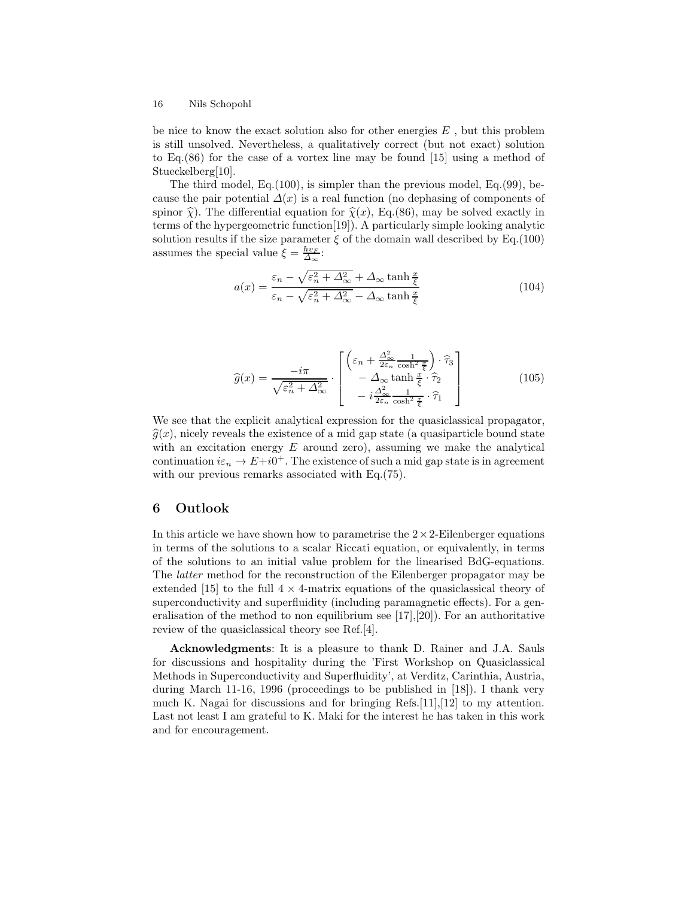be nice to know the exact solution also for other energies  $E$ , but this problem is still unsolved. Nevertheless, a qualitatively correct (but not exact) solution to Eq.(86) for the case of a vortex line may be found [15] using a method of Stueckelberg[10].

The third model, Eq.(100), is simpler than the previous model, Eq.(99), because the pair potential  $\Delta(x)$  is a real function (no dephasing of components of spinor  $\hat{\chi}$ ). The differential equation for  $\hat{\chi}(x)$ , Eq.(86), may be solved exactly in terms of the hypergeometric function[19]). A particularly simple looking analytic solution results if the size parameter  $\xi$  of the domain wall described by Eq.(100) assumes the special value  $\xi = \frac{\hbar v_F}{\Delta_{\infty}}$ :

$$
a(x) = \frac{\varepsilon_n - \sqrt{\varepsilon_n^2 + \Delta_{\infty}^2} + \Delta_{\infty} \tanh\frac{x}{\xi}}{\varepsilon_n - \sqrt{\varepsilon_n^2 + \Delta_{\infty}^2} - \Delta_{\infty} \tanh\frac{x}{\xi}}
$$
(104)

$$
\widehat{g}(x) = \frac{-i\pi}{\sqrt{\varepsilon_n^2 + \Delta_{\infty}^2}} \cdot \begin{bmatrix} \left(\varepsilon_n + \frac{\Delta_{\infty}^2}{2\varepsilon_n} \frac{1}{\cosh^2 \frac{x}{\xi}}\right) \cdot \widehat{\tau}_3\\ -\Delta_{\infty} \tanh \frac{x}{\xi} \cdot \widehat{\tau}_2\\ -i \frac{\Delta_{\infty}^2}{2\varepsilon_n} \frac{1}{\cosh^2 \frac{x}{\xi}} \cdot \widehat{\tau}_1 \end{bmatrix}
$$
(105)

We see that the explicit analytical expression for the quasiclassical propagator,  $\hat{g}(x)$ , nicely reveals the existence of a mid gap state (a quasiparticle bound state with an excitation energy  $E$  around zero), assuming we make the analytical continuation  $i\varepsilon_n \to E+i0^+$ . The existence of such a mid gap state is in agreement with our previous remarks associated with Eq.  $(75)$ .

## 6 Outlook

In this article we have shown how to parametrise the  $2 \times 2$ -Eilenberger equations in terms of the solutions to a scalar Riccati equation, or equivalently, in terms of the solutions to an initial value problem for the linearised BdG-equations. The latter method for the reconstruction of the Eilenberger propagator may be extended [15] to the full  $4 \times 4$ -matrix equations of the quasiclassical theory of superconductivity and superfluidity (including paramagnetic effects). For a generalisation of the method to non equilibrium see [17],[20]). For an authoritative review of the quasiclassical theory see Ref.[4].

Acknowledgments: It is a pleasure to thank D. Rainer and J.A. Sauls for discussions and hospitality during the 'First Workshop on Quasiclassical Methods in Superconductivity and Superfluidity', at Verditz, Carinthia, Austria, during March 11-16, 1996 (proceedings to be published in [18]). I thank very much K. Nagai for discussions and for bringing Refs.[11],[12] to my attention. Last not least I am grateful to K. Maki for the interest he has taken in this work and for encouragement.